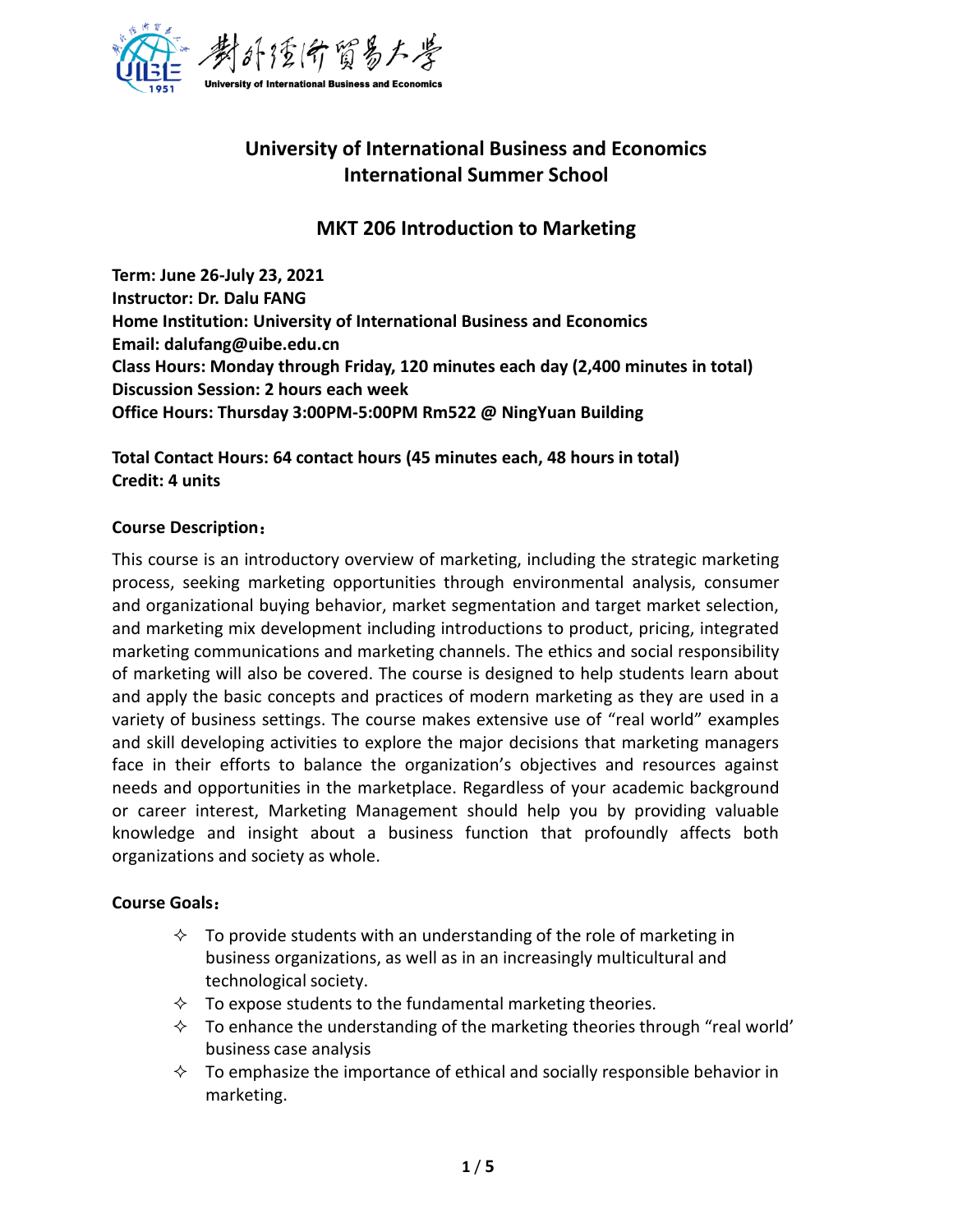

# **University of International Business and Economics International Summer School**

## **MKT 206 Introduction to Marketing**

**Term: June 26-July 23, 2021 Instructor: Dr. Dalu FANG Home Institution: University of International Business and Economics Email: dalufang@uibe.edu.cn Class Hours: Monday through Friday, 120 minutes each day (2,400 minutes in total) Discussion Session: 2 hours each week Office Hours: Thursday 3:00PM-5:00PM Rm522 @ NingYuan Building**

**Total Contact Hours: 64 contact hours (45 minutes each, 48 hours in total) Credit: 4 units**

## **Course Description**:

This course is an introductory overview of marketing, including the strategic marketing process, seeking marketing opportunities through environmental analysis, consumer and organizational buying behavior, market segmentation and target market selection, and marketing mix development including introductions to product, pricing, integrated marketing communications and marketing channels. The ethics and social responsibility of marketing will also be covered. The course is designed to help students learn about and apply the basic concepts and practices of modern marketing as they are used in a variety of business settings. The course makes extensive use of "real world" examples and skill developing activities to explore the major decisions that marketing managers face in their efforts to balance the organization's objectives and resources against needs and opportunities in the marketplace. Regardless of your academic background or career interest, Marketing Management should help you by providing valuable knowledge and insight about a business function that profoundly affects both organizations and society as whole.

## **Course Goals**:

- $\Diamond$  To provide students with an understanding of the role of marketing in business organizations, as well as in an increasingly multicultural and technological society.
- $\Diamond$  To expose students to the fundamental marketing theories.
- $\Diamond$  To enhance the understanding of the marketing theories through "real world' business case analysis
- $\Diamond$  To emphasize the importance of ethical and socially responsible behavior in marketing.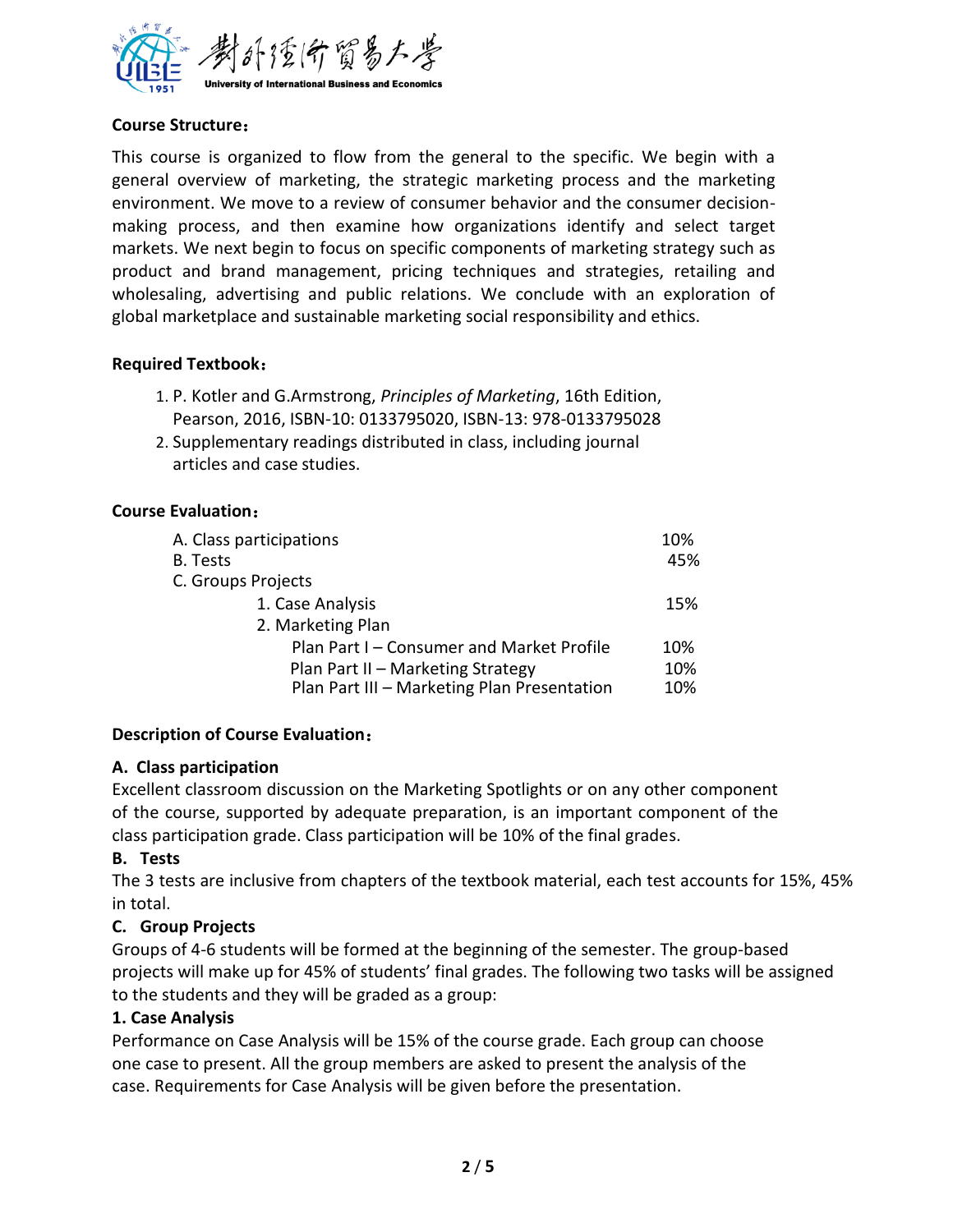

## **Course Structure**:

This course is organized to flow from the general to the specific. We begin with a general overview of marketing, the strategic marketing process and the marketing environment. We move to a review of consumer behavior and the consumer decisionmaking process, and then examine how organizations identify and select target markets. We next begin to focus on specific components of marketing strategy such as product and brand management, pricing techniques and strategies, retailing and wholesaling, advertising and public relations. We conclude with an exploration of global marketplace and sustainable marketing social responsibility and ethics.

#### **Required Textbook**:

- 1. P. Kotler and G.Armstrong, *Principles of Marketing*, 16th Edition, Pearson, 2016, ISBN-10: 0133795020, ISBN-13: 978-0133795028
- 2. Supplementary readings distributed in class, including journal articles and case studies.

#### **Course Evaluation**:

| A. Class participations                     | 10% |
|---------------------------------------------|-----|
| <b>B.</b> Tests                             | 45% |
| C. Groups Projects                          |     |
| 1. Case Analysis                            | 15% |
| 2. Marketing Plan                           |     |
| Plan Part I – Consumer and Market Profile   | 10% |
| Plan Part II - Marketing Strategy           | 10% |
| Plan Part III - Marketing Plan Presentation | 10% |

## **Description of Course Evaluation**:

#### **A. Class participation**

Excellent classroom discussion on the Marketing Spotlights or on any other component of the course, supported by adequate preparation, is an important component of the class participation grade. Class participation will be 10% of the final grades.

#### **B. Tests**

The 3 tests are inclusive from chapters of the textbook material, each test accounts for 15%, 45% in total.

#### **C. Group Projects**

Groups of 4-6 students will be formed at the beginning of the semester. The group-based projects will make up for 45% of students' final grades. The following two tasks will be assigned to the students and they will be graded as a group:

#### **1. Case Analysis**

Performance on Case Analysis will be 15% of the course grade. Each group can choose one case to present. All the group members are asked to present the analysis of the case. Requirements for Case Analysis will be given before the presentation.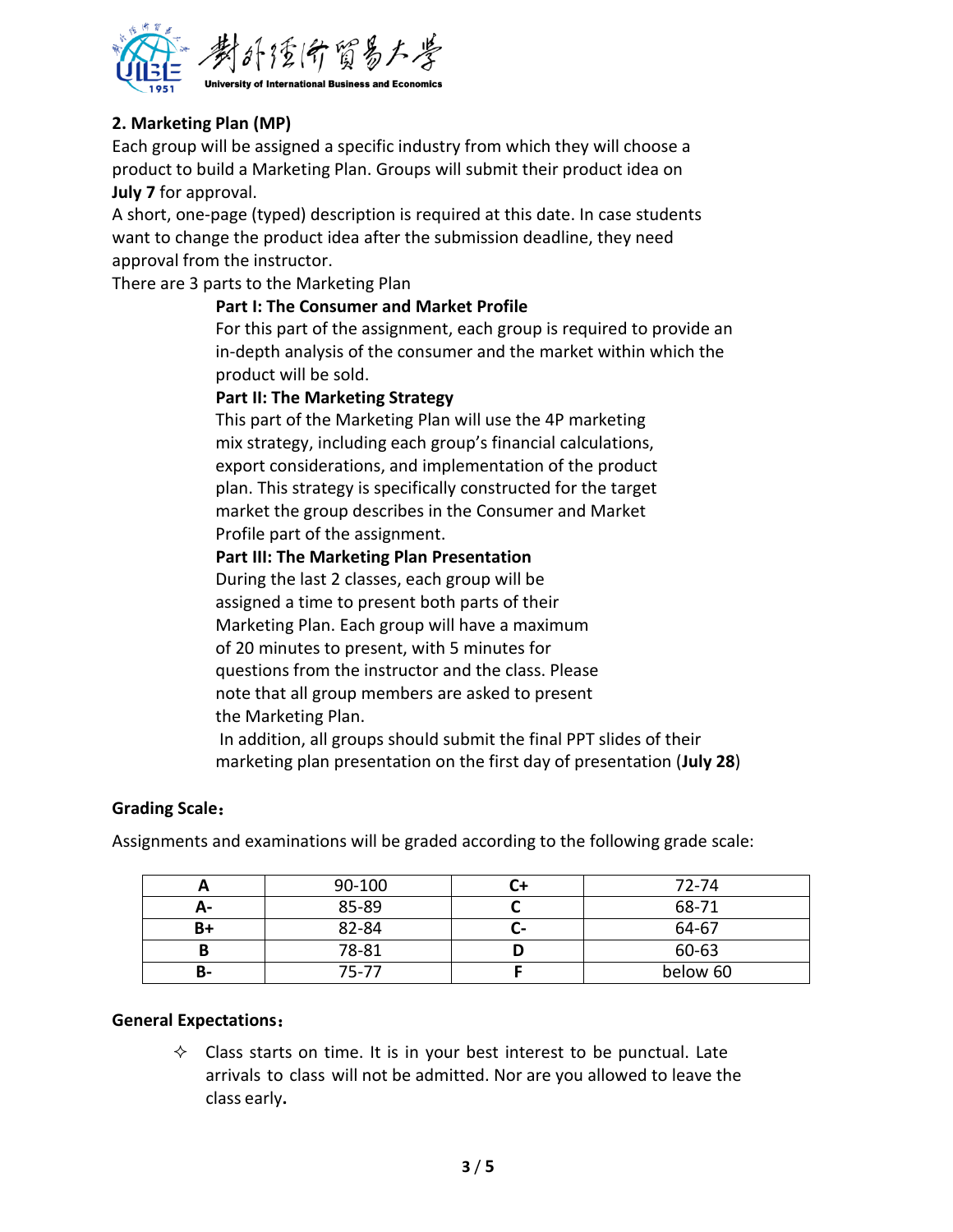

## **2. Marketing Plan (MP)**

Each group will be assigned a specific industry from which they will choose a product to build a Marketing Plan. Groups will submit their product idea on **July 7** for approval.

A short, one-page (typed) description is required at this date. In case students want to change the product idea after the submission deadline, they need approval from the instructor.

There are 3 parts to the Marketing Plan

#### **Part I: The Consumer and Market Profile**

For this part of the assignment, each group is required to provide an in-depth analysis of the consumer and the market within which the product will be sold.

#### **Part II: The Marketing Strategy**

This part of the Marketing Plan will use the 4P marketing mix strategy, including each group's financial calculations, export considerations, and implementation of the product plan. This strategy is specifically constructed for the target market the group describes in the Consumer and Market Profile part of the assignment.

#### **Part III: The Marketing Plan Presentation**

During the last 2 classes, each group will be assigned a time to present both parts of their Marketing Plan. Each group will have a maximum of 20 minutes to present, with 5 minutes for questions from the instructor and the class. Please note that all group members are asked to present the Marketing Plan.

In addition, all groups should submit the final PPT slides of their marketing plan presentation on the first day of presentation (**July 28**)

#### **Grading Scale**:

Assignments and examinations will be graded according to the following grade scale:

|    | 90-100 |    | $72 - 74$ |
|----|--------|----|-----------|
| А- | 85-89  |    | 68-71     |
| B+ | 82-84  | u- | 64-67     |
|    | 78-81  |    | 60-63     |
| В- | 75-77  |    | below 60  |

#### **General Expectations**:

 $\Diamond$  Class starts on time. It is in your best interest to be punctual. Late arrivals to class will not be admitted. Nor are you allowed to leave the class early**.**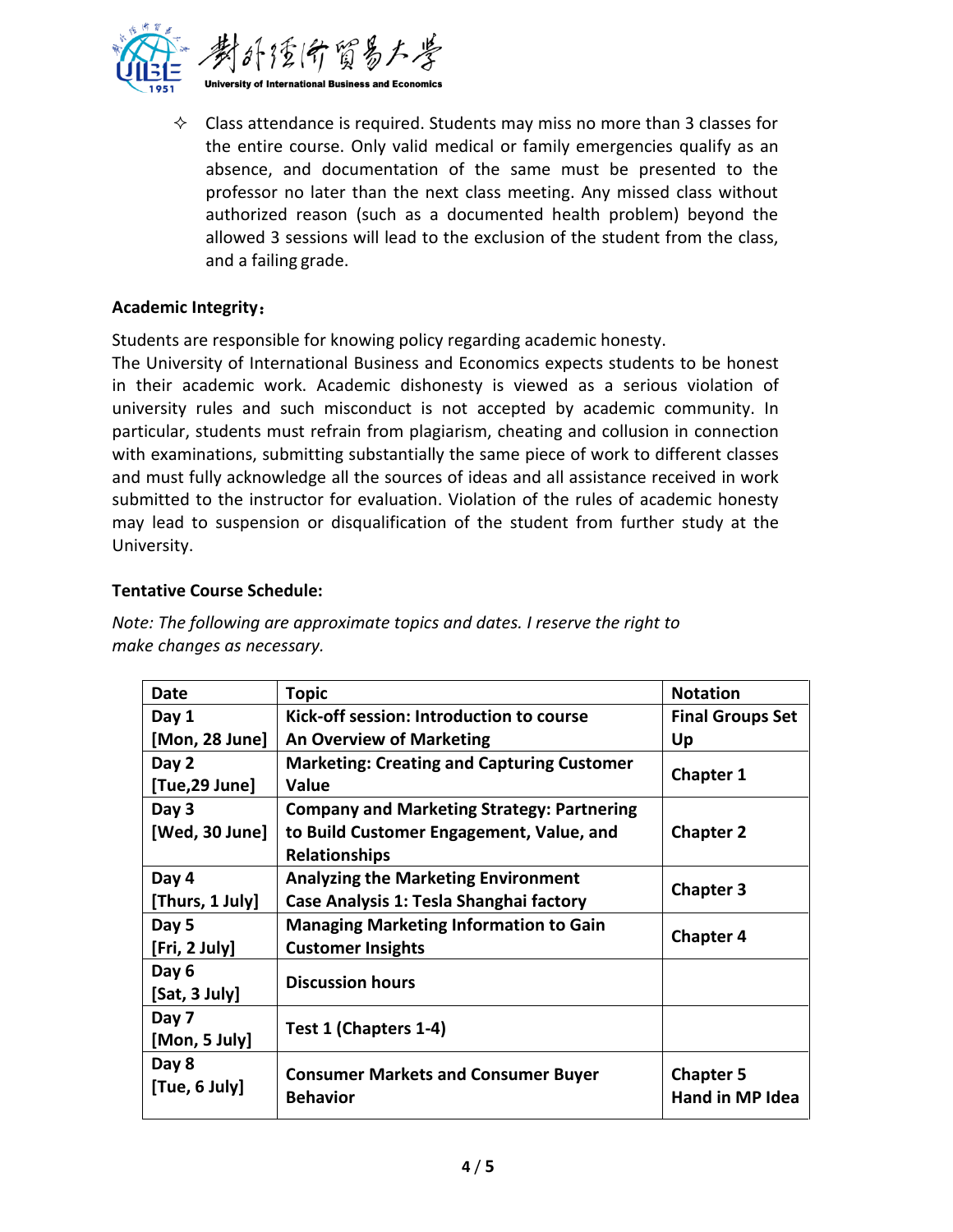

 $\Diamond$  Class attendance is required. Students may miss no more than 3 classes for the entire course. Only valid medical or family emergencies qualify as an absence, and documentation of the same must be presented to the professor no later than the next class meeting. Any missed class without authorized reason (such as a documented health problem) beyond the allowed 3 sessions will lead to the exclusion of the student from the class, and a failing grade.

## **Academic Integrity**:

Students are responsible for knowing policy regarding academic honesty.

The University of International Business and Economics expects students to be honest in their academic work. Academic dishonesty is viewed as a serious violation of university rules and such misconduct is not accepted by academic community. In particular, students must refrain from plagiarism, cheating and collusion in connection with examinations, submitting substantially the same piece of work to different classes and must fully acknowledge all the sources of ideas and all assistance received in work submitted to the instructor for evaluation. Violation of the rules of academic honesty may lead to suspension or disqualification of the student from further study at the University.

#### **Tentative Course Schedule:**

| Date            | <b>Topic</b>                                                  | <b>Notation</b>                     |  |
|-----------------|---------------------------------------------------------------|-------------------------------------|--|
| Day 1           | Kick-off session: Introduction to course                      | <b>Final Groups Set</b>             |  |
| [Mon, 28 June]  | <b>An Overview of Marketing</b>                               | Up                                  |  |
| Day 2           | <b>Marketing: Creating and Capturing Customer</b>             |                                     |  |
| [Tue,29 June]   | <b>Value</b>                                                  | <b>Chapter 1</b>                    |  |
| Day 3           | <b>Company and Marketing Strategy: Partnering</b>             |                                     |  |
| [Wed, 30 June]  | to Build Customer Engagement, Value, and                      | <b>Chapter 2</b>                    |  |
|                 | <b>Relationships</b>                                          |                                     |  |
| Day 4           | <b>Analyzing the Marketing Environment</b>                    |                                     |  |
| [Thurs, 1 July] | Case Analysis 1: Tesla Shanghai factory                       | <b>Chapter 3</b>                    |  |
| Day 5           | <b>Managing Marketing Information to Gain</b>                 | <b>Chapter 4</b>                    |  |
| [Fri, 2 July]   | <b>Customer Insights</b>                                      |                                     |  |
| Day 6           | <b>Discussion hours</b>                                       |                                     |  |
| [Sat, 3 July]   |                                                               |                                     |  |
| Day 7           |                                                               |                                     |  |
| [Mon, 5 July]   | Test 1 (Chapters 1-4)                                         |                                     |  |
| Day 8           |                                                               |                                     |  |
| [Tue, 6 July]   | <b>Consumer Markets and Consumer Buyer</b><br><b>Behavior</b> | <b>Chapter 5</b><br>Hand in MP Idea |  |
|                 |                                                               |                                     |  |

*Note: The following are approximate topics and dates. I reserve the right to make changes as necessary.*